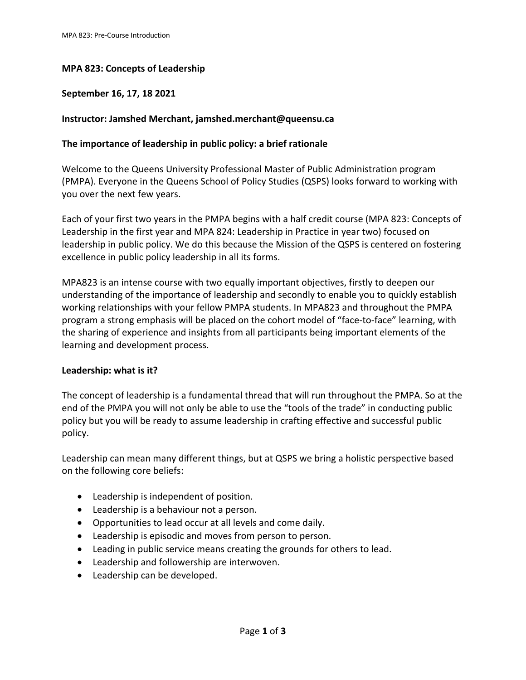# **MPA 823: Concepts of Leadership**

# **September 16, 17, 18 2021**

# **Instructor: Jamshed Merchant, jamshed.merchant@queensu.ca**

# **The importance of leadership in public policy: a brief rationale**

Welcome to the Queens University Professional Master of Public Administration program (PMPA). Everyone in the Queens School of Policy Studies (QSPS) looks forward to working with you over the next few years.

Each of your first two years in the PMPA begins with a half credit course (MPA 823: Concepts of Leadership in the first year and MPA 824: Leadership in Practice in year two) focused on leadership in public policy. We do this because the Mission of the QSPS is centered on fostering excellence in public policy leadership in all its forms.

MPA823 is an intense course with two equally important objectives, firstly to deepen our understanding of the importance of leadership and secondly to enable you to quickly establish working relationships with your fellow PMPA students. In MPA823 and throughout the PMPA program a strong emphasis will be placed on the cohort model of "face-to-face" learning, with the sharing of experience and insights from all participants being important elements of the learning and development process.

## **Leadership: what is it?**

The concept of leadership is a fundamental thread that will run throughout the PMPA. So at the end of the PMPA you will not only be able to use the "tools of the trade" in conducting public policy but you will be ready to assume leadership in crafting effective and successful public policy.

Leadership can mean many different things, but at QSPS we bring a holistic perspective based on the following core beliefs:

- Leadership is independent of position.
- Leadership is a behaviour not a person.
- Opportunities to lead occur at all levels and come daily.
- Leadership is episodic and moves from person to person.
- Leading in public service means creating the grounds for others to lead.
- Leadership and followership are interwoven.
- Leadership can be developed.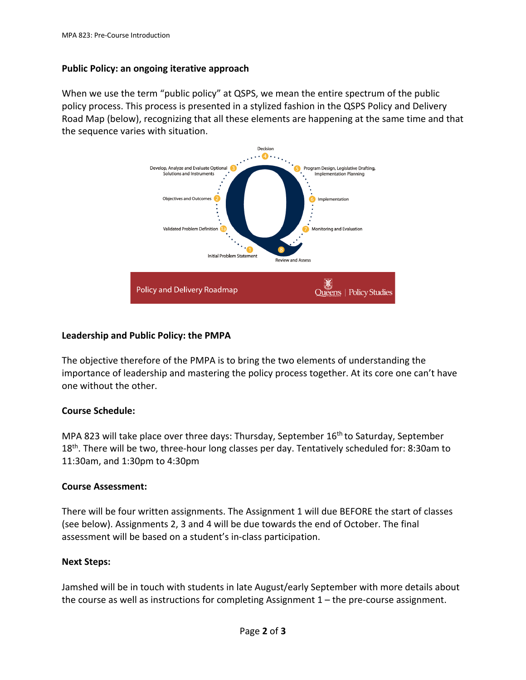# **Public Policy: an ongoing iterative approach**

When we use the term "public policy" at QSPS, we mean the entire spectrum of the public policy process. This process is presented in a stylized fashion in the QSPS Policy and Delivery Road Map (below), recognizing that all these elements are happening at the same time and that the sequence varies with situation.



# **Leadership and Public Policy: the PMPA**

The objective therefore of the PMPA is to bring the two elements of understanding the importance of leadership and mastering the policy process together. At its core one can't have one without the other.

## **Course Schedule:**

MPA 823 will take place over three days: Thursday, September 16th to Saturday, September 18<sup>th</sup>. There will be two, three-hour long classes per day. Tentatively scheduled for: 8:30am to 11:30am, and 1:30pm to 4:30pm

## **Course Assessment:**

There will be four written assignments. The Assignment 1 will due BEFORE the start of classes (see below). Assignments 2, 3 and 4 will be due towards the end of October. The final assessment will be based on a student's in-class participation.

## **Next Steps:**

Jamshed will be in touch with students in late August/early September with more details about the course as well as instructions for completing Assignment 1 – the pre-course assignment.